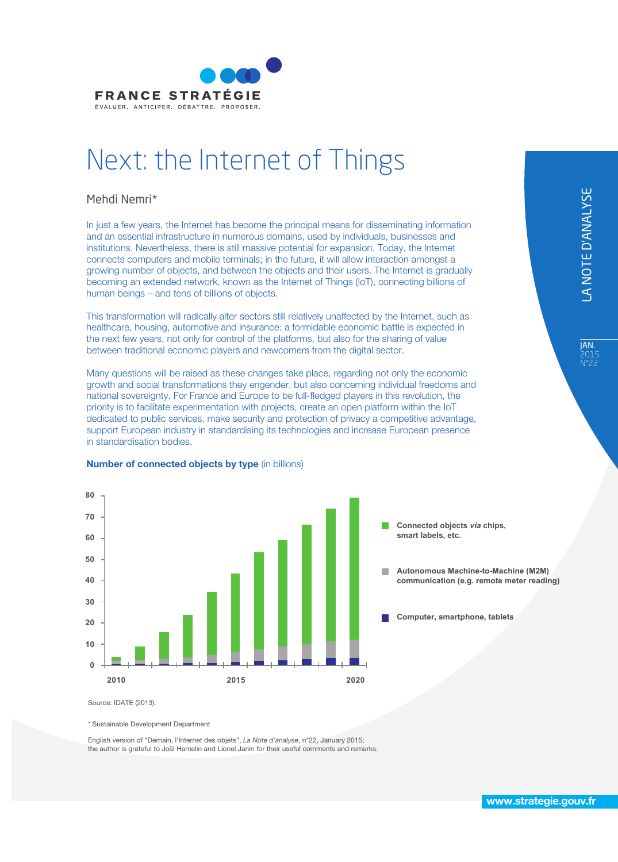

# Next: the Internet of Things

#### Mehdi Nemri\*

In just a few years, the Internet has become the principal means for disseminating information and an essential infrastructure in numerous domains, used by individuals, businesses and institutions. Nevertheless, there is still massive potential for expansion. Today, the Internet connects computers and mobile terminals; in the future, it will allow interaction amongst a growing number of objects, and between the objects and their users. The Internet is gradually becoming an extended network, known as the Internet of Things (IoT), connecting billions of human beings – and tens of billions of objects.

This transformation will radically alter sectors still relatively unaffected by the Internet, such as healthcare, housing, automotive and insurance: a formidable economic battle is expected in the next few years, not only for control of the platforms, but also for the sharing of value between traditional economic players and newcomers from the digital sector.

Many questions will be raised as these changes take place, regarding not only the economic growth and social transformations they engender, but also concerning individual freedoms and national sovereignty. For France and Europe to be full-fledged players in this revolution, the priority is to facilitate experimentation with projects, create an open platform within the IoT dedicated to public services, make security and protection of privacy a competitive advantage, support European industry in standardising its technologies and increase European presence in standardisation bodies.



#### **Number of connected objects by type (in billions)**

**Connected objects** *via* **chips, smart labels, etc.** 

**Autonomous Machine-to-Machine (M2M) communication (e.g. remote meter reading)**

**Computer, smartphone, tablets**

Source: IDATE (2013).

\* Sustainable Development Department

English version of "Demain, l'Internet des objets", *La Note d'analyse*, n°22, January 2015; the author is grateful to Joël Hamelin and Lionel Janin for their useful comments and remarks. **JAN.** 2015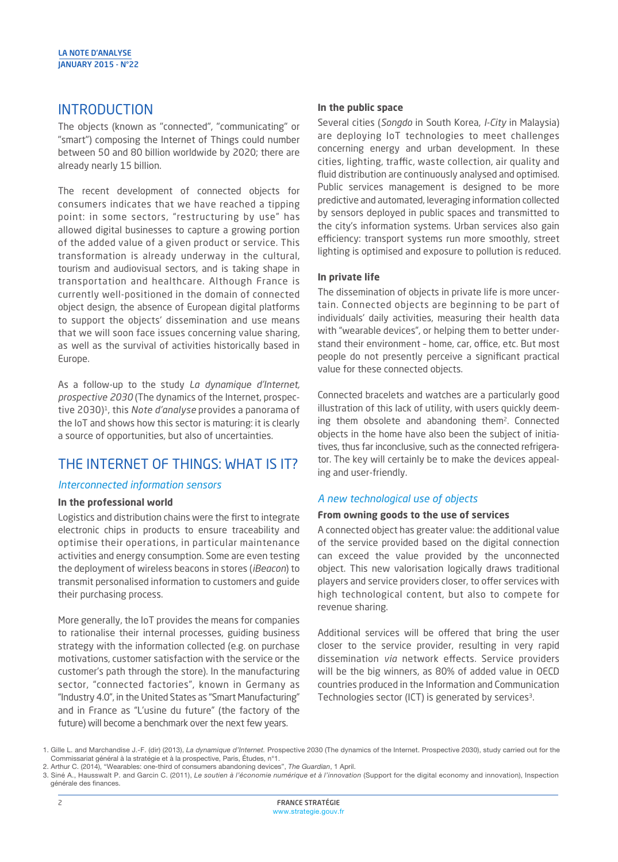## **INTRODUCTION**

The objects (known as "connected", "communicating" or "smart") composing the Internet of Things could number between 50 and 80 billion worldwide by 2020; there are already nearly 15 billion.

The recent development of connected objects for consumers indicates that we have reached a tipping point: in some sectors, "restructuring by use" has allowed digital businesses to capture a growing portion of the added value of a given product or service. This transformation is already underway in the cultural, tourism and audiovisual sectors, and is taking shape in transportation and healthcare. Although France is currently well-positioned in the domain of connected object design, the absence of European digital platforms to support the objects' dissemination and use means that we will soon face issues concerning value sharing, as well as the survival of activities historically based in Europe.

As a follow-up to the study *La dynamique d'Internet, prospective 2030* (The dynamics of the Internet, prospective 2030)1, this *Note d'analyse* provides a panorama of the IoT and shows how this sector is maturing: it is clearly a source of opportunities, but also of uncertainties.

# THE INTERNET OF THINGS: WHAT IS IT?

#### *Interconnected information sensors*

#### **In the professional world**

Logistics and distribution chains were the first to integrate electronic chips in products to ensure traceability and optimise their operations, in particular maintenance activities and energy consumption. Some are even testing the deployment of wireless beacons in stores (*iBeacon*) to transmit personalised information to customers and guide their purchasing process.

More generally, the IoT provides the means for companies to rationalise their internal processes, guiding business strategy with the information collected (e.g. on purchase motivations, customer satisfaction with the service or the customer's path through the store). In the manufacturing sector, "connected factories", known in Germany as "Industry 4.0", in the United States as "Smart Manufacturing" and in France as "L'usine du future" (the factory of the future) will become a benchmark over the next few years.

#### **In the public space**

Several cities (*Songdo* in South Korea, *I-City* in Malaysia) are deploying IoT technologies to meet challenges concerning energy and urban development. In these cities, lighting, traffic, waste collection, air quality and fluid distribution are continuously analysed and optimised. Public services management is designed to be more predictive and automated, leveraging information collected by sensors deployed in public spaces and transmitted to the city's information systems. Urban services also gain efficiency: transport systems run more smoothly, street lighting is optimised and exposure to pollution is reduced.

#### **In private life**

The dissemination of objects in private life is more uncertain. Connected objects are beginning to be part of individuals' daily activities, measuring their health data with "wearable devices", or helping them to better understand their environment - home, car, office, etc. But most people do not presently perceive a significant practical value for these connected objects.

Connected bracelets and watches are a particularly good illustration of this lack of utility, with users quickly deeming them obsolete and abandoning them<sup>2</sup>. Connected objects in the home have also been the subject of initiatives, thus far inconclusive, such as the connected refrigerator. The key will certainly be to make the devices appealing and user-friendly.

#### *A new technological use of objects*

#### **From owning goods to the use of services**

A connected object has greater value: the additional value of the service provided based on the digital connection can exceed the value provided by the unconnected object. This new valorisation logically draws traditional players and service providers closer, to offer services with high technological content, but also to compete for revenue sharing.

Additional services will be offered that bring the user closer to the service provider, resulting in very rapid dissemination *via* network effects. Service providers will be the big winners, as 80% of added value in OECD countries produced in the Information and Communication Technologies sector (ICT) is generated by services<sup>3</sup>.

<sup>1.</sup> Gille L. and Marchandise J.-F. (dir) (2013), *La dynamique d'Internet.* Prospective 2030 (The dynamics of the Internet. Prospective 2030), study carried out for the Commissariat général à la stratégie et à la prospective, Paris, Études, n°1.

<sup>2.</sup> Arthur C. (2014), "Wearables: one-third of consumers abandoning devices", *The Guardian*, 1 April.

<sup>3.</sup> Siné A., Hausswalt P. and Garcin C. (2011), *Le soutien à l'économie numérique et à l'innovation* (Support for the digital economy and innovation), Inspection générale des finances.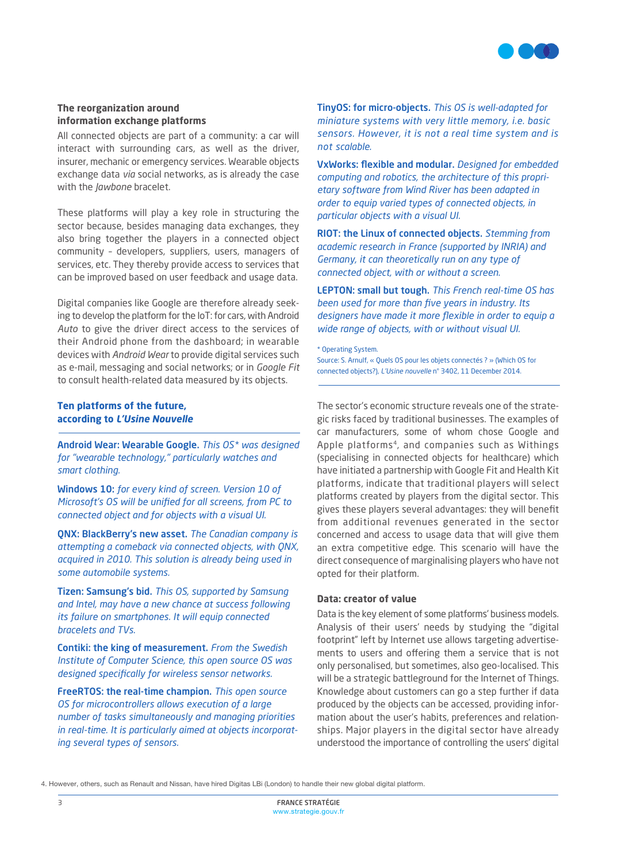

#### **The reorganization around information exchange platforms**

All connected objects are part of a community: a car will interact with surrounding cars, as well as the driver, insurer, mechanic or emergency services. Wearable objects exchange data *via* social networks, as is already the case with the *Jawbone* bracelet.

These platforms will play a key role in structuring the sector because, besides managing data exchanges, they also bring together the players in a connected object community – developers, suppliers, users, managers of services, etc. They thereby provide access to services that can be improved based on user feedback and usage data.

Digital companies like Google are therefore already seeking to develop the platform for the IoT: for cars, with Android *Auto* to give the driver direct access to the services of their Android phone from the dashboard; in wearable devices with *Android Wear* to provide digital services such as e-mail, messaging and social networks; or in *Google Fit* to consult health-related data measured by its objects.

#### **Ten platforms of the future, according to** *L'Usine Nouvelle*

Android Wear: Wearable Google. *This OS\* was designed for "wearable technology," particularly watches and smart clothing.*

Windows 10: *for every kind of screen. Version 10 of Microsoft's OS will be unified for all screens, from PC to connected object and for objects with a visual UI.*

QNX: BlackBerry's new asset. *The Canadian company is attempting a comeback via connected objects, with QNX, acquired in 2010. This solution is already being used in some automobile systems.*

Tizen: Samsung's bid. *This OS, supported by Samsung and Intel, may have a new chance at success following its failure on smartphones. It will equip connected bracelets and TVs.*

Contiki: the king of measurement. *From the Swedish Institute of Computer Science, this open source OS was designed specifically for wireless sensor networks.*

FreeRTOS: the real-time champion. *This open source OS for microcontrollers allows execution of a large number of tasks simultaneously and managing priorities in real-time. It is particularly aimed at objects incorporating several types of sensors.*

TinyOS: for micro-objects. *This OS is well-adapted for miniature systems with very little memory, i.e. basic sensors. However, it is not a real time system and is not scalable.*

VxWorks: flexible and modular. *Designed for embedded computing and robotics, the architecture of this proprietary software from Wind River has been adapted in order to equip varied types of connected objects, in particular objects with a visual UI.*

RIOT: the Linux of connected objects. *Stemming from academic research in France (supported by INRIA) and Germany, it can theoretically run on any type of connected object, with or without a screen.*

LEPTON: small but tough. *This French real-time OS has been used for more than five years in industry. Its designers have made it more flexible in order to equip a wide range of objects, with or without visual UI.*

\* Operating System. Source: S. Arnulf, « Quels OS pour les objets connectés ? » (Which OS for connected objects?), *L'Usine nouvelle* n° 3402, 11 December 2014.

The sector's economic structure reveals one of the strategic risks faced by traditional businesses. The examples of car manufacturers, some of whom chose Google and Apple platforms<sup>4</sup>, and companies such as Withings (specialising in connected objects for healthcare) which have initiated a partnership with Google Fit and Health Kit platforms, indicate that traditional players will select platforms created by players from the digital sector. This gives these players several advantages: they will benefit from additional revenues generated in the sector concerned and access to usage data that will give them an extra competitive edge. This scenario will have the direct consequence of marginalising players who have not opted for their platform.

#### **Data: creator of value**

Data is the key element of some platforms' business models. Analysis of their users' needs by studying the "digital footprint" left by Internet use allows targeting advertisements to users and offering them a service that is not only personalised, but sometimes, also geo-localised. This will be a strategic battleground for the Internet of Things. Knowledge about customers can go a step further if data produced by the objects can be accessed, providing information about the user's habits, preferences and relationships. Major players in the digital sector have already understood the importance of controlling the users' digital

4. However, others, such as Renault and Nissan, have hired Digitas LBi (London) to handle their new global digital platform.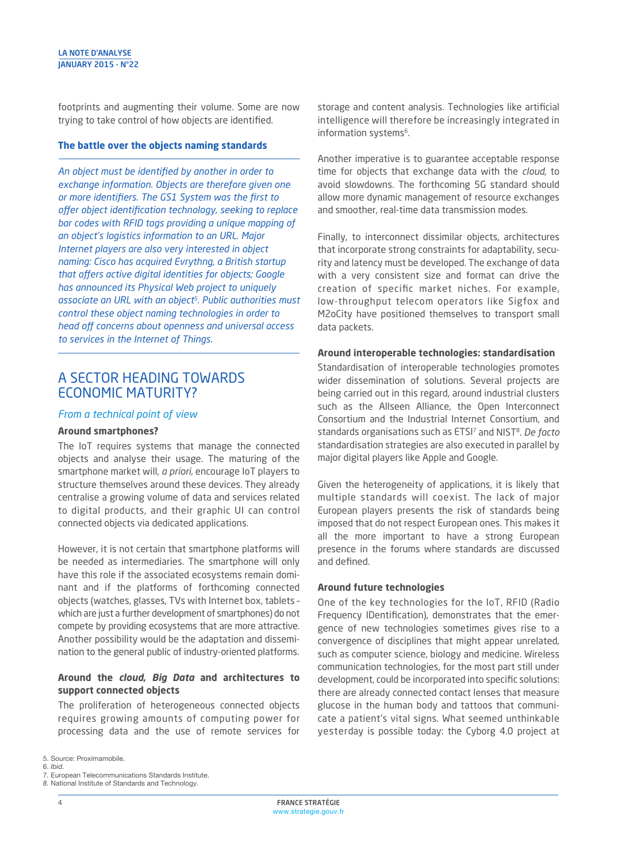footprints and augmenting their volume. Some are now trying to take control of how objects are identified.

#### **The battle over the objects naming standards**

*An object must be identified by another in order to exchange information. Objects are therefore given one or more identifiers. The GS1 System was the first to*  offer object identification technology, seeking to replace *bar codes with RFID tags providing a unique mapping of an object's logistics information to an URL. Major Internet players are also very interested in object naming: Cisco has acquired Evrythng, a British startup*  that offers active digital identities for objects; Google *has announced its Physical Web project to uniquely associate an URL with an object5. Public authorities must control these object naming technologies in order to head off concerns about openness and universal access to services in the Internet of Things.*

### A SECTOR HEADING TOWARDS ECONOMIC MATURITY?

#### *From a technical point of view*

#### **Around smartphones?**

The IoT requires systems that manage the connected objects and analyse their usage. The maturing of the smartphone market will, *a priori*, encourage IoT players to structure themselves around these devices. They already centralise a growing volume of data and services related to digital products, and their graphic UI can control connected objects via dedicated applications.

However, it is not certain that smartphone platforms will be needed as intermediaries. The smartphone will only have this role if the associated ecosystems remain dominant and if the platforms of forthcoming connected objects (watches, glasses, TVs with Internet box, tablets – which are just a further development of smartphones) do not compete by providing ecosystems that are more attractive. Another possibility would be the adaptation and dissemination to the general public of industry-oriented platforms.

#### **Around the** *cloud***,** *Big Data* **and architectures to support connected objects**

The proliferation of heterogeneous connected objects requires growing amounts of computing power for processing data and the use of remote services for storage and content analysis. Technologies like artificial intelligence will therefore be increasingly integrated in information systems<sup>6</sup>.

Another imperative is to guarantee acceptable response time for objects that exchange data with the *cloud*, to avoid slowdowns. The forthcoming 5G standard should allow more dynamic management of resource exchanges and smoother, real-time data transmission modes.

Finally, to interconnect dissimilar objects, architectures that incorporate strong constraints for adaptability, security and latency must be developed. The exchange of data with a very consistent size and format can drive the creation of specific market niches. For example, low-throughput telecom operators like Sigfox and M2oCity have positioned themselves to transport small data packets.

#### **Around interoperable technologies: standardisation**

Standardisation of interoperable technologies promotes wider dissemination of solutions. Several projects are being carried out in this regard, around industrial clusters such as the Allseen Alliance, the Open Interconnect Consortium and the Industrial Internet Consortium, and standards organisations such as ETSI7 and NIST8. *De facto* standardisation strategies are also executed in parallel by major digital players like Apple and Google.

Given the heterogeneity of applications, it is likely that multiple standards will coexist. The lack of major European players presents the risk of standards being imposed that do not respect European ones. This makes it all the more important to have a strong European presence in the forums where standards are discussed and defined.

#### **Around future technologies**

One of the key technologies for the IoT, RFID (Radio Frequency IDentification), demonstrates that the emergence of new technologies sometimes gives rise to a convergence of disciplines that might appear unrelated, such as computer science, biology and medicine. Wireless communication technologies, for the most part still under development, could be incorporated into specific solutions: there are already connected contact lenses that measure glucose in the human body and tattoos that communicate a patient's vital signs. What seemed unthinkable yesterday is possible today: the Cyborg 4.0 project at

<sup>5.</sup> Source: Proximamobile.

<sup>6.</sup> *Ibid.*

<sup>7</sup>*.* European Telecommunications Standards Institute.

*<sup>8.</sup>* National Institute of Standards and Technology.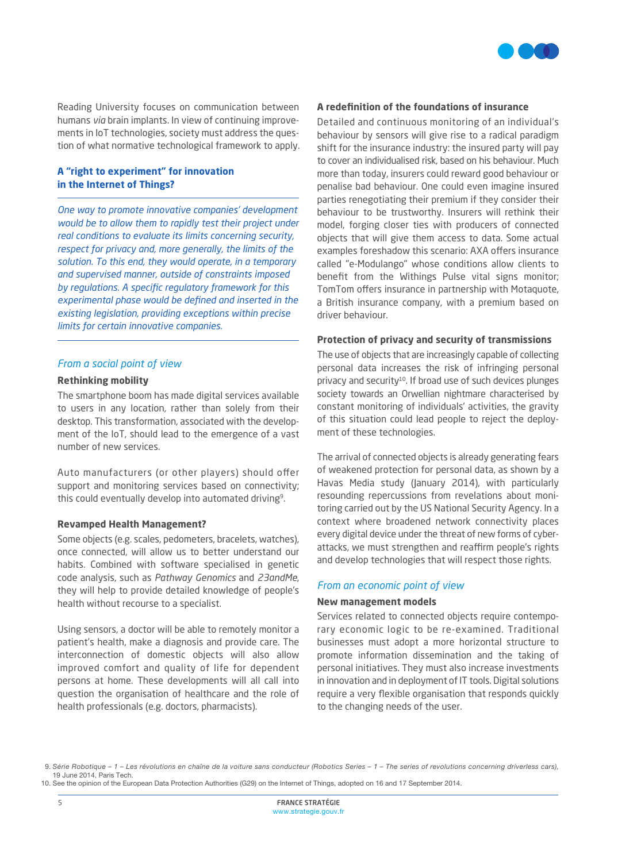

Reading University focuses on communication between humans *via* brain implants. In view of continuing improvements in IoT technologies, society must address the question of what normative technological framework to apply.

#### **A "right to experiment" for innovation in the Internet of Things?**

*One way to promote innovative companies' development would be to allow them to rapidly test their project under real conditions to evaluate its limits concerning security, respect for privacy and, more generally, the limits of the solution. To this end, they would operate, in a temporary and supervised manner, outside of constraints imposed by regulations. A specific regulatory framework for this experimental phase would be defined and inserted in the existing legislation, providing exceptions within precise limits for certain innovative companies.*

#### *From a social point of view*

#### **Rethinking mobility**

The smartphone boom has made digital services available to users in any location, rather than solely from their desktop. This transformation, associated with the development of the IoT, should lead to the emergence of a vast number of new services.

Auto manufacturers (or other players) should offer support and monitoring services based on connectivity; this could eventually develop into automated driving<sup>9</sup>.

#### **Revamped Health Management?**

Some objects (e.g. scales, pedometers, bracelets, watches), once connected, will allow us to better understand our habits. Combined with software specialised in genetic code analysis, such as *Pathway Genomics* and *23andMe*, they will help to provide detailed knowledge of people's health without recourse to a specialist.

Using sensors, a doctor will be able to remotely monitor a patient's health, make a diagnosis and provide care. The interconnection of domestic objects will also allow improved comfort and quality of life for dependent persons at home. These developments will all call into question the organisation of healthcare and the role of health professionals (e.g. doctors, pharmacists).

#### **A redefinition of the foundations of insurance**

Detailed and continuous monitoring of an individual's behaviour by sensors will give rise to a radical paradigm shift for the insurance industry: the insured party will pay to cover an individualised risk, based on his behaviour. Much more than today, insurers could reward good behaviour or penalise bad behaviour. One could even imagine insured parties renegotiating their premium if they consider their behaviour to be trustworthy. Insurers will rethink their model, forging closer ties with producers of connected objects that will give them access to data. Some actual examples foreshadow this scenario: AXA offers insurance called "e-Modulango" whose conditions allow clients to benefit from the Withings Pulse vital signs monitor; TomTom offers insurance in partnership with Motaquote, a British insurance company, with a premium based on driver behaviour.

#### **Protection of privacy and security of transmissions**

The use of objects that are increasingly capable of collecting personal data increases the risk of infringing personal privacy and security<sup>10</sup>. If broad use of such devices plunges society towards an Orwellian nightmare characterised by constant monitoring of individuals' activities, the gravity of this situation could lead people to reject the deployment of these technologies.

The arrival of connected objects is already generating fears of weakened protection for personal data, as shown by a Havas Media study (January 2014), with particularly resounding repercussions from revelations about monitoring carried out by the US National Security Agency. In a context where broadened network connectivity places every digital device under the threat of new forms of cyberattacks, we must strengthen and reaffirm people's rights and develop technologies that will respect those rights.

#### *From an economic point of view*

#### **New management models**

Services related to connected objects require contemporary economic logic to be re-examined. Traditional businesses must adopt a more horizontal structure to promote information dissemination and the taking of personal initiatives. They must also increase investments in innovation and in deployment of IT tools. Digital solutions require a very flexible organisation that responds quickly to the changing needs of the user.

 <sup>9.</sup> *Série Robotique – 1 – Les révolutions en chaîne de la voiture sans conducteur (Robotics Series – 1 – The series of revolutions concerning driverless cars),*  19 June 2014, Paris Tech.

<sup>10.</sup> See the opinion of the European Data Protection Authorities (G29) on the Internet of Things, adopted on 16 and 17 September 2014.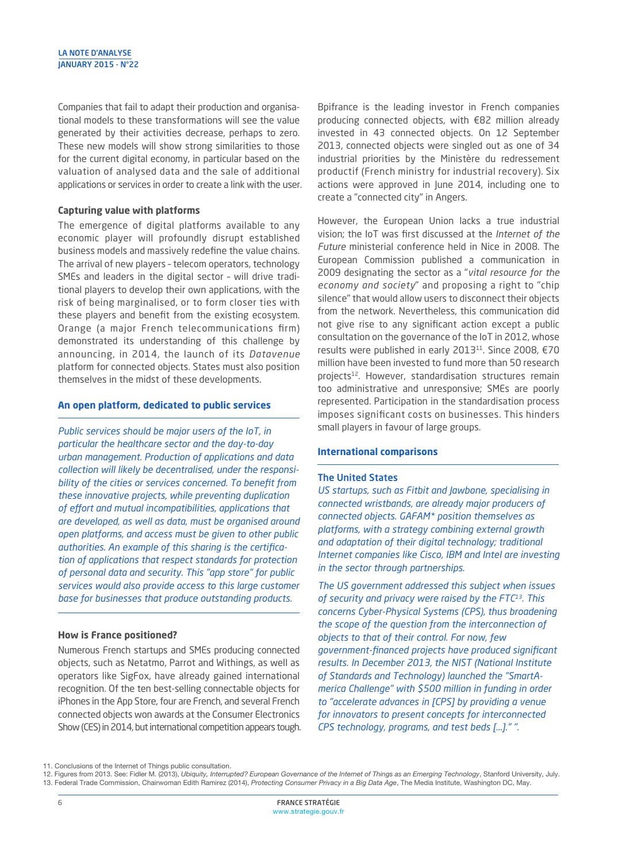Companies that fail to adapt their production and organisational models to these transformations will see the value generated by their activities decrease, perhaps to zero. These new models will show strong similarities to those for the current digital economy, in particular based on the valuation of analysed data and the sale of additional applications or services in order to create a link with the user.

#### **Capturing value with platforms**

The emergence of digital platforms available to any economic player will profoundly disrupt established business models and massively redefine the value chains. The arrival of new players – telecom operators, technology SMEs and leaders in the digital sector – will drive traditional players to develop their own applications, with the risk of being marginalised, or to form closer ties with these players and benefit from the existing ecosystem. Orange (a major French telecommunications firm) demonstrated its understanding of this challenge by announcing, in 2014, the launch of its *Datavenue* platform for connected objects. States must also position themselves in the midst of these developments.

#### **An open platform, dedicated to public services**

*Public services should be major users of the IoT, in particular the healthcare sector and the day-to-day urban management. Production of applications and data collection will likely be decentralised, under the responsibility of the cities or services concerned. To benefit from these innovative projects, while preventing duplication*  of effort and mutual incompatibilities, applications that *are developed, as well as data, must be organised around open platforms, and access must be given to other public authorities. An example of this sharing is the certification of applications that respect standards for protection of personal data and security. This "app store" for public services would also provide access to this large customer base for businesses that produce outstanding products.*

#### **How is France positioned?**

Numerous French startups and SMEs producing connected objects, such as Netatmo, Parrot and Withings, as well as operators like SigFox, have already gained international recognition. Of the ten best-selling connectable objects for iPhones in the App Store, four are French, and several French connected objects won awards at the Consumer Electronics Show (CES) in 2014, but international competition appears tough. Bpifrance is the leading investor in French companies producing connected objects, with €82 million already invested in 43 connected objects. On 12 September 2013, connected objects were singled out as one of 34 industrial priorities by the Ministère du redressement productif (French ministry for industrial recovery). Six actions were approved in June 2014, including one to create a "connected city" in Angers.

However, the European Union lacks a true industrial vision; the IoT was first discussed at the *Internet of the Future* ministerial conference held in Nice in 2008. The European Commission published a communication in 2009 designating the sector as a "*vital resource for the economy and society*" and proposing a right to "chip silence" that would allow users to disconnect their objects from the network. Nevertheless, this communication did not give rise to any significant action except a public consultation on the governance of the IoT in 2012, whose results were published in early 2013<sup>11</sup>. Since 2008, €70 million have been invested to fund more than 50 research projects<sup>12</sup>. However, standardisation structures remain too administrative and unresponsive; SMEs are poorly represented. Participation in the standardisation process imposes significant costs on businesses. This hinders small players in favour of large groups.

#### **International comparisons**

#### The United States

*US startups, such as Fitbit and Jawbone, specialising in connected wristbands, are already major producers of connected objects. GAFAM\* position themselves as platforms, with a strategy combining external growth and adaptation of their digital technology; traditional Internet companies like Cisco, IBM and Intel are investing in the sector through partnerships.*

*The US government addressed this subject when issues of security and privacy were raised by the FTC13. This concerns Cyber-Physical Systems (CPS), thus broadening the scope of the question from the interconnection of objects to that of their control. For now, few government-financed projects have produced significant results. In December 2013, the NIST (National Institute of Standards and Technology) launched the "SmartAmerica Challenge" with \$500 million in funding in order to "accelerate advances in [CPS] by providing a venue for innovators to present concepts for interconnected CPS technology, programs, and test beds [...]." ".*

11. Conclusions of the Internet of Things public consultation.

12. Figures from 2013. See: Fidler M. (2013), *Ubiquity, Interrupted? European Governance of the Internet of Things as an Emerging Technology*, Stanford University, July. 13. Federal Trade Commission, Chairwoman Edith Ramirez (2014), *Protecting Consumer Privacy in a Big Data Age*, The Media Institute, Washington DC, May.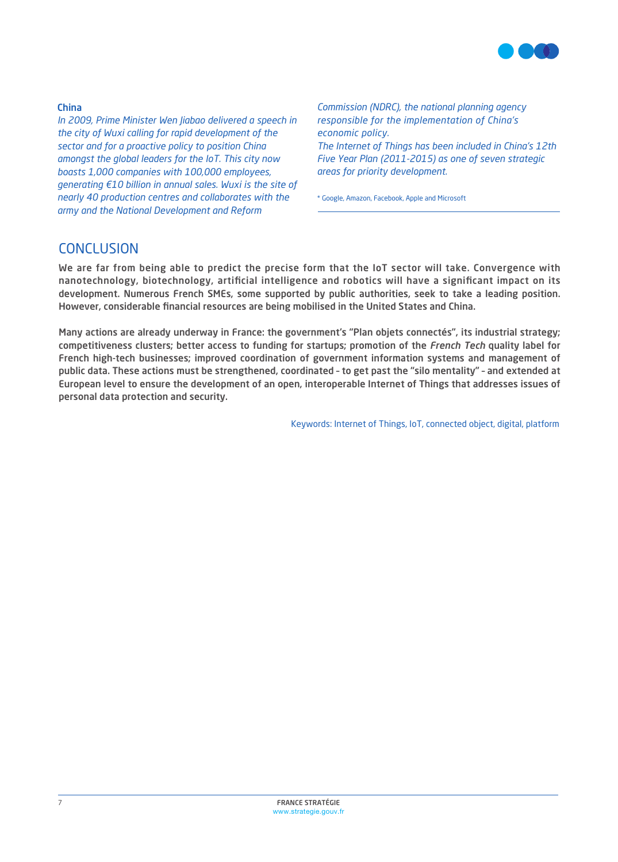

#### China

*In 2009, Prime Minister Wen Jiabao delivered a speech in the city of Wuxi calling for rapid development of the sector and for a proactive policy to position China amongst the global leaders for the IoT. This city now boasts 1,000 companies with 100,000 employees, generating €10 billion in annual sales. Wuxi is the site of nearly 40 production centres and collaborates with the army and the National Development and Reform* 

*Commission (NDRC), the national planning agency responsible for the implementation of China's economic policy. The Internet of Things has been included in China's 12th Five Year Plan (2011-2015) as one of seven strategic areas for priority development.*

\* Google, Amazon, Facebook, Apple and Microsoft

## **CONCLUSION**

We are far from being able to predict the precise form that the IoT sector will take. Convergence with nanotechnology, biotechnology, artificial intelligence and robotics will have a significant impact on its development. Numerous French SMEs, some supported by public authorities, seek to take a leading position. However, considerable financial resources are being mobilised in the United States and China.

Many actions are already underway in France: the government's "Plan objets connectés", its industrial strategy; competitiveness clusters; better access to funding for startups; promotion of the *French Tech* quality label for French high-tech businesses; improved coordination of government information systems and management of public data. These actions must be strengthened, coordinated – to get past the "silo mentality" – and extended at European level to ensure the development of an open, interoperable Internet of Things that addresses issues of personal data protection and security.

Keywords: Internet of Things, IoT, connected object, digital, platform